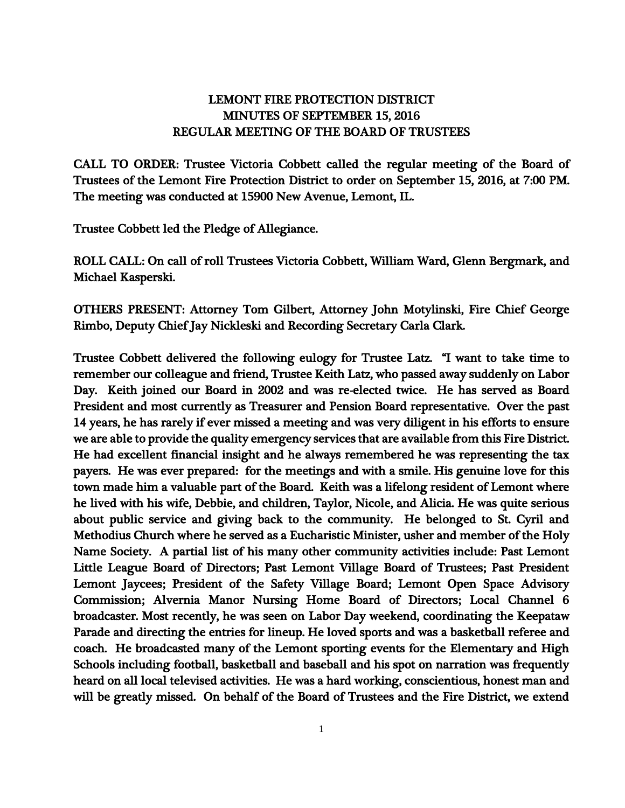## LEMONT FIRE PROTECTION DISTRICT MINUTES OF SEPTEMBER 15, 2016 REGULAR MEETING OF THE BOARD OF TRUSTEES

CALL TO ORDER: Trustee Victoria Cobbett called the regular meeting of the Board of Trustees of the Lemont Fire Protection District to order on September 15, 2016, at 7:00 PM. The meeting was conducted at 15900 New Avenue, Lemont, IL.

Trustee Cobbett led the Pledge of Allegiance.

ROLL CALL: On call of roll Trustees Victoria Cobbett, William Ward, Glenn Bergmark, and Michael Kasperski.

OTHERS PRESENT: Attorney Tom Gilbert, Attorney John Motylinski, Fire Chief George Rimbo, Deputy Chief Jay Nickleski and Recording Secretary Carla Clark.

Trustee Cobbett delivered the following eulogy for Trustee Latz. "I want to take time to remember our colleague and friend, Trustee Keith Latz, who passed away suddenly on Labor Day. Keith joined our Board in 2002 and was re-elected twice. He has served as Board President and most currently as Treasurer and Pension Board representative. Over the past 14 years, he has rarely if ever missed a meeting and was very diligent in his efforts to ensure we are able to provide the quality emergency services that are available from this Fire District. He had excellent financial insight and he always remembered he was representing the tax payers. He was ever prepared: for the meetings and with a smile. His genuine love for this town made him a valuable part of the Board. Keith was a lifelong resident of Lemont where he lived with his wife, Debbie, and children, Taylor, Nicole, and Alicia. He was quite serious about public service and giving back to the community. He belonged to St. Cyril and Methodius Church where he served as a Eucharistic Minister, usher and member of the Holy Name Society. A partial list of his many other community activities include: Past Lemont Little League Board of Directors; Past Lemont Village Board of Trustees; Past President Lemont Jaycees; President of the Safety Village Board; Lemont Open Space Advisory Commission; Alvernia Manor Nursing Home Board of Directors; Local Channel 6 broadcaster. Most recently, he was seen on Labor Day weekend, coordinating the Keepataw Parade and directing the entries for lineup. He loved sports and was a basketball referee and coach. He broadcasted many of the Lemont sporting events for the Elementary and High Schools including football, basketball and baseball and his spot on narration was frequently heard on all local televised activities. He was a hard working, conscientious, honest man and will be greatly missed. On behalf of the Board of Trustees and the Fire District, we extend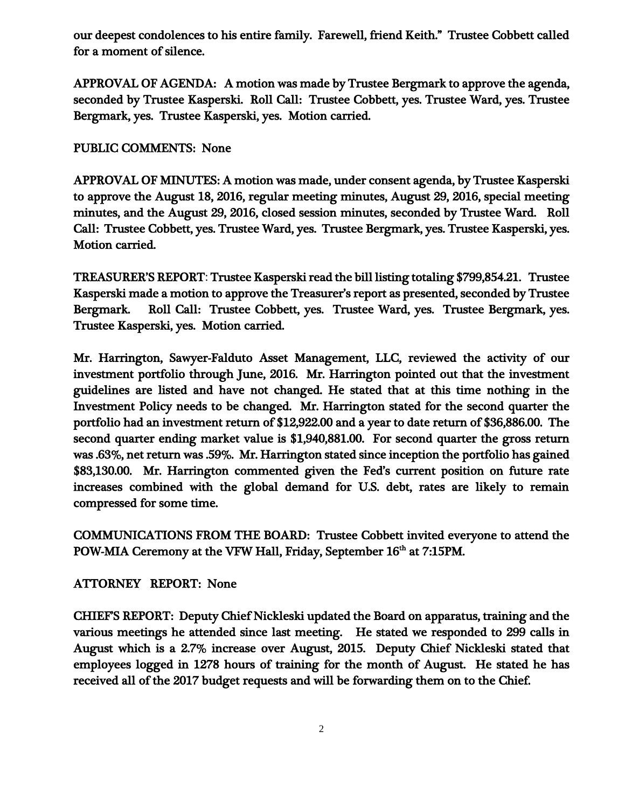our deepest condolences to his entire family. Farewell, friend Keith." Trustee Cobbett called for a moment of silence.

APPROVAL OF AGENDA: A motion was made by Trustee Bergmark to approve the agenda, seconded by Trustee Kasperski. Roll Call: Trustee Cobbett, yes. Trustee Ward, yes. Trustee Bergmark, yes. Trustee Kasperski, yes. Motion carried.

PUBLIC COMMENTS: None

APPROVAL OF MINUTES: A motion was made, under consent agenda, by Trustee Kasperski to approve the August 18, 2016, regular meeting minutes, August 29, 2016, special meeting minutes, and the August 29, 2016, closed session minutes, seconded by Trustee Ward. Roll Call: Trustee Cobbett, yes. Trustee Ward, yes. Trustee Bergmark, yes. Trustee Kasperski, yes. Motion carried.

TREASURER'S REPORT: Trustee Kasperski read the bill listing totaling \$799,854.21. Trustee Kasperski made a motion to approve the Treasurer's report as presented, seconded by Trustee Bergmark. Roll Call: Trustee Cobbett, yes. Trustee Ward, yes. Trustee Bergmark, yes. Trustee Kasperski, yes. Motion carried.

Mr. Harrington, Sawyer-Falduto Asset Management, LLC, reviewed the activity of our investment portfolio through June, 2016. Mr. Harrington pointed out that the investment guidelines are listed and have not changed. He stated that at this time nothing in the Investment Policy needs to be changed. Mr. Harrington stated for the second quarter the portfolio had an investment return of \$12,922.00 and a year to date return of \$36,886.00. The second quarter ending market value is \$1,940,881.00. For second quarter the gross return was .63%, net return was .59%. Mr. Harrington stated since inception the portfolio has gained \$83,130.00. Mr. Harrington commented given the Fed's current position on future rate increases combined with the global demand for U.S. debt, rates are likely to remain compressed for some time.

COMMUNICATIONS FROM THE BOARD: Trustee Cobbett invited everyone to attend the POW-MIA Ceremony at the VFW Hall, Friday, September  $16<sup>th</sup>$  at  $7:15PM$ .

ATTORNEY REPORT: None

CHIEF'S REPORT: Deputy Chief Nickleski updated the Board on apparatus, training and the various meetings he attended since last meeting. He stated we responded to 299 calls in August which is a 2.7% increase over August, 2015. Deputy Chief Nickleski stated that employees logged in 1278 hours of training for the month of August. He stated he has received all of the 2017 budget requests and will be forwarding them on to the Chief.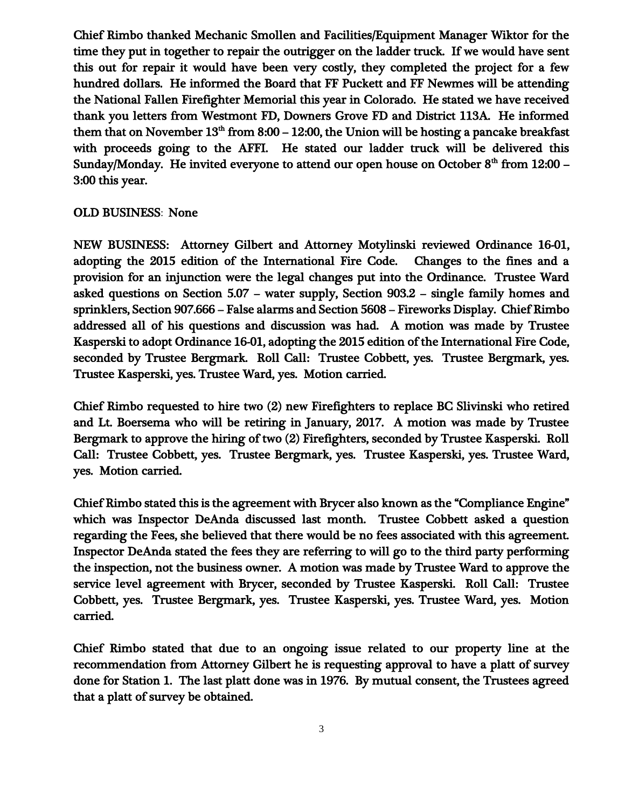Chief Rimbo thanked Mechanic Smollen and Facilities/Equipment Manager Wiktor for the time they put in together to repair the outrigger on the ladder truck. If we would have sent this out for repair it would have been very costly, they completed the project for a few hundred dollars. He informed the Board that FF Puckett and FF Newmes will be attending the National Fallen Firefighter Memorial this year in Colorado. He stated we have received thank you letters from Westmont FD, Downers Grove FD and District 113A. He informed them that on November  $13<sup>th</sup>$  from 8:00 – 12:00, the Union will be hosting a pancake breakfast with proceeds going to the AFFI. He stated our ladder truck will be delivered this Sunday/Monday. He invited everyone to attend our open house on October  $8^{\text{th}}$  from 12:00 – 3:00 this year.

## OLD BUSINESS: None

NEW BUSINESS: Attorney Gilbert and Attorney Motylinski reviewed Ordinance 16-01, adopting the 2015 edition of the International Fire Code. Changes to the fines and a provision for an injunction were the legal changes put into the Ordinance. Trustee Ward asked questions on Section 5.07 – water supply, Section 903.2 – single family homes and sprinklers, Section 907.666 – False alarms and Section 5608 – Fireworks Display. Chief Rimbo addressed all of his questions and discussion was had. A motion was made by Trustee Kasperski to adopt Ordinance 16-01, adopting the 2015 edition of the International Fire Code, seconded by Trustee Bergmark. Roll Call: Trustee Cobbett, yes. Trustee Bergmark, yes. Trustee Kasperski, yes. Trustee Ward, yes. Motion carried.

Chief Rimbo requested to hire two (2) new Firefighters to replace BC Slivinski who retired and Lt. Boersema who will be retiring in January, 2017. A motion was made by Trustee Bergmark to approve the hiring of two (2) Firefighters, seconded by Trustee Kasperski. Roll Call: Trustee Cobbett, yes. Trustee Bergmark, yes. Trustee Kasperski, yes. Trustee Ward, yes. Motion carried.

Chief Rimbo stated this is the agreement with Brycer also known as the "Compliance Engine" which was Inspector DeAnda discussed last month. Trustee Cobbett asked a question regarding the Fees, she believed that there would be no fees associated with this agreement. Inspector DeAnda stated the fees they are referring to will go to the third party performing the inspection, not the business owner. A motion was made by Trustee Ward to approve the service level agreement with Brycer, seconded by Trustee Kasperski. Roll Call: Trustee Cobbett, yes. Trustee Bergmark, yes. Trustee Kasperski, yes. Trustee Ward, yes. Motion carried.

Chief Rimbo stated that due to an ongoing issue related to our property line at the recommendation from Attorney Gilbert he is requesting approval to have a platt of survey done for Station 1. The last platt done was in 1976. By mutual consent, the Trustees agreed that a platt of survey be obtained.